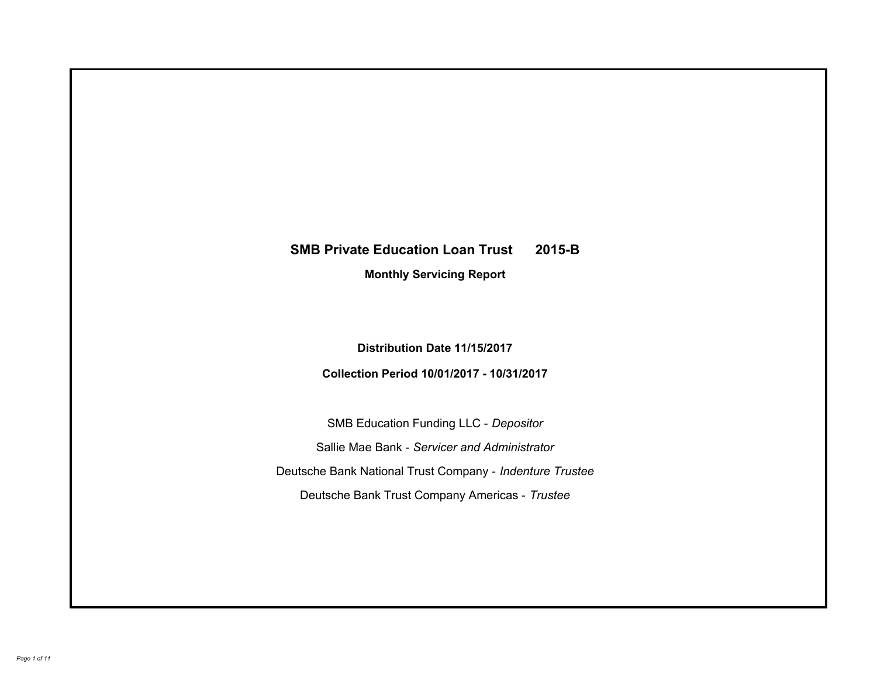# **SMB Private Education Loan Trust 2015-B Monthly Servicing Report**

**Distribution Date 11/15/2017**

**Collection Period 10/01/2017 - 10/31/2017**

SMB Education Funding LLC - *Depositor* Sallie Mae Bank - *Servicer and Administrator* Deutsche Bank National Trust Company - *Indenture Trustee* Deutsche Bank Trust Company Americas - *Trustee*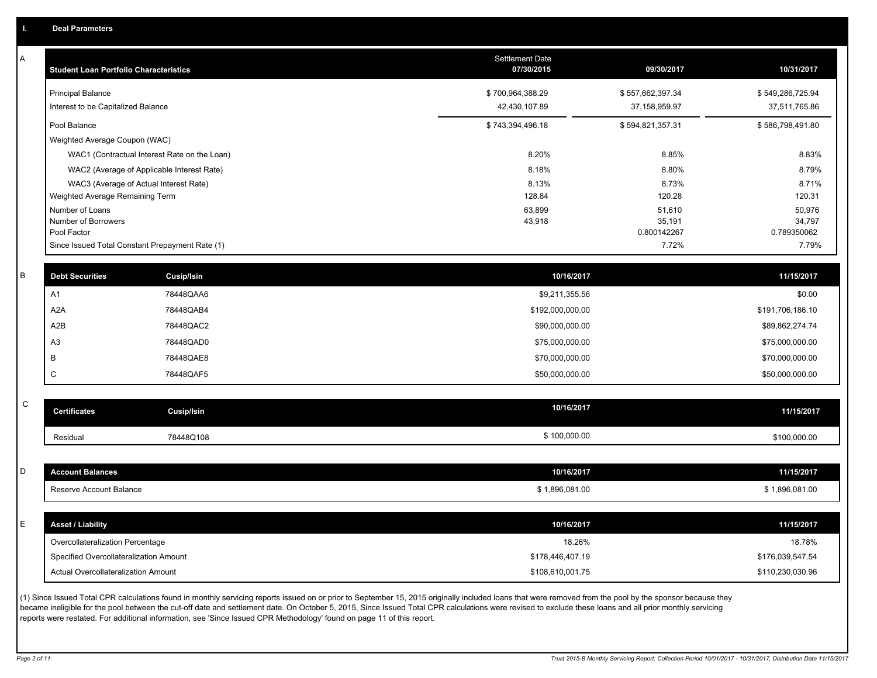A

| A | <b>Student Loan Portfolio Characteristics</b> |                                                 | <b>Settlement Date</b><br>07/30/2015 | 09/30/2017            | 10/31/2017            |
|---|-----------------------------------------------|-------------------------------------------------|--------------------------------------|-----------------------|-----------------------|
|   | <b>Principal Balance</b>                      |                                                 | \$700,964,388.29                     | \$557,662,397.34      | \$549,286,725.94      |
|   | Interest to be Capitalized Balance            |                                                 | 42,430,107.89                        | 37, 158, 959. 97      | 37,511,765.86         |
|   | Pool Balance                                  |                                                 | \$743,394,496.18                     | \$594,821,357.31      | \$586,798,491.80      |
|   | Weighted Average Coupon (WAC)                 |                                                 |                                      |                       |                       |
|   |                                               | WAC1 (Contractual Interest Rate on the Loan)    | 8.20%                                | 8.85%                 | 8.83%                 |
|   |                                               | WAC2 (Average of Applicable Interest Rate)      | 8.18%                                | 8.80%                 | 8.79%                 |
|   |                                               | WAC3 (Average of Actual Interest Rate)          | 8.13%                                | 8.73%                 | 8.71%                 |
|   | Weighted Average Remaining Term               |                                                 | 128.84                               | 120.28                | 120.31                |
|   | Number of Loans                               |                                                 | 63,899                               | 51,610                | 50,976                |
|   | Number of Borrowers<br>Pool Factor            |                                                 | 43,918                               | 35,191<br>0.800142267 | 34,797<br>0.789350062 |
|   |                                               | Since Issued Total Constant Prepayment Rate (1) |                                      | 7.72%                 | 7.79%                 |
|   |                                               |                                                 |                                      |                       |                       |
| B | <b>Debt Securities</b>                        | <b>Cusip/Isin</b>                               | 10/16/2017                           |                       | 11/15/2017            |
|   | A1                                            | 78448QAA6                                       | \$9,211,355.56                       |                       | \$0.00                |
|   | A <sub>2</sub> A                              | 78448QAB4                                       | \$192,000,000.00                     |                       | \$191,706,186.10      |
|   | A2B                                           | 78448QAC2                                       | \$90,000,000.00                      |                       | \$89,862,274.74       |
|   | A <sub>3</sub>                                | 78448QAD0                                       | \$75,000,000.00                      |                       | \$75,000,000.00       |
|   | B                                             | 78448QAE8                                       | \$70,000,000.00                      |                       | \$70,000,000.00       |
|   | C                                             | 78448QAF5                                       | \$50,000,000.00                      |                       | \$50,000,000.00       |
|   |                                               |                                                 |                                      |                       |                       |
| C | <b>Certificates</b>                           | Cusip/Isin                                      | 10/16/2017                           |                       | 11/15/2017            |
|   | Residual                                      | 78448Q108                                       | \$100,000.00                         |                       | \$100,000.00          |
|   |                                               |                                                 |                                      |                       |                       |
| D | <b>Account Balances</b>                       |                                                 | 10/16/2017                           |                       | 11/15/2017            |
|   | Reserve Account Balance                       |                                                 | \$1,896,081.00                       |                       | \$1,896,081.00        |
|   |                                               |                                                 |                                      |                       |                       |
| F | <b>Asset / Liability</b>                      |                                                 | 10/16/2017                           |                       | 11/15/2017            |
|   | Overcollateralization Percentage              |                                                 | 18.26%                               |                       | 18.78%                |
|   | Specified Overcollateralization Amount        |                                                 | \$178,446,407.19                     |                       | \$176,039,547.54      |
|   | Actual Overcollateralization Amount           |                                                 | \$108,610,001.75                     |                       | \$110,230,030.96      |
|   |                                               |                                                 |                                      |                       |                       |

(1) Since Issued Total CPR calculations found in monthly servicing reports issued on or prior to September 15, 2015 originally included loans that were removed from the pool by the sponsor because they became ineligible for the pool between the cut-off date and settlement date. On October 5, 2015, Since Issued Total CPR calculations were revised to exclude these loans and all prior monthly servicing reports were restated. For additional information, see 'Since Issued CPR Methodology' found on page 11 of this report.

C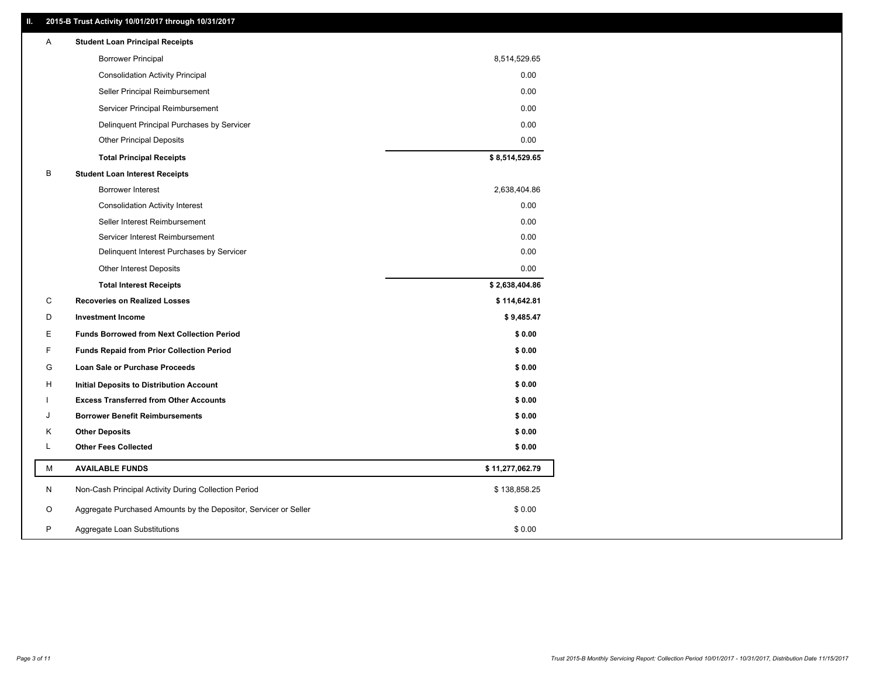# **II. 2015-B Trust Activity 10/01/2017 through 10/31/2017**

| Α | <b>Student Loan Principal Receipts</b>                           |                 |
|---|------------------------------------------------------------------|-----------------|
|   | <b>Borrower Principal</b>                                        | 8,514,529.65    |
|   | <b>Consolidation Activity Principal</b>                          | 0.00            |
|   | Seller Principal Reimbursement                                   | 0.00            |
|   | Servicer Principal Reimbursement                                 | 0.00            |
|   | Delinquent Principal Purchases by Servicer                       | 0.00            |
|   | <b>Other Principal Deposits</b>                                  | 0.00            |
|   | <b>Total Principal Receipts</b>                                  | \$8,514,529.65  |
| В | <b>Student Loan Interest Receipts</b>                            |                 |
|   | Borrower Interest                                                | 2,638,404.86    |
|   | <b>Consolidation Activity Interest</b>                           | 0.00            |
|   | Seller Interest Reimbursement                                    | 0.00            |
|   | Servicer Interest Reimbursement                                  | 0.00            |
|   | Delinquent Interest Purchases by Servicer                        | 0.00            |
|   | <b>Other Interest Deposits</b>                                   | 0.00            |
|   | <b>Total Interest Receipts</b>                                   | \$2,638,404.86  |
| С | <b>Recoveries on Realized Losses</b>                             | \$114,642.81    |
| D | <b>Investment Income</b>                                         | \$9,485.47      |
| E | <b>Funds Borrowed from Next Collection Period</b>                | \$0.00          |
| F | <b>Funds Repaid from Prior Collection Period</b>                 | \$0.00          |
| G | Loan Sale or Purchase Proceeds                                   | \$0.00          |
| н | Initial Deposits to Distribution Account                         | \$0.00          |
|   | <b>Excess Transferred from Other Accounts</b>                    | \$0.00          |
| J | <b>Borrower Benefit Reimbursements</b>                           | \$0.00          |
| Κ | <b>Other Deposits</b>                                            | \$0.00          |
| L | <b>Other Fees Collected</b>                                      | \$0.00          |
| М | <b>AVAILABLE FUNDS</b>                                           | \$11,277,062.79 |
| N | Non-Cash Principal Activity During Collection Period             | \$138,858.25    |
| O | Aggregate Purchased Amounts by the Depositor, Servicer or Seller | \$0.00          |
| P | Aggregate Loan Substitutions                                     | \$0.00          |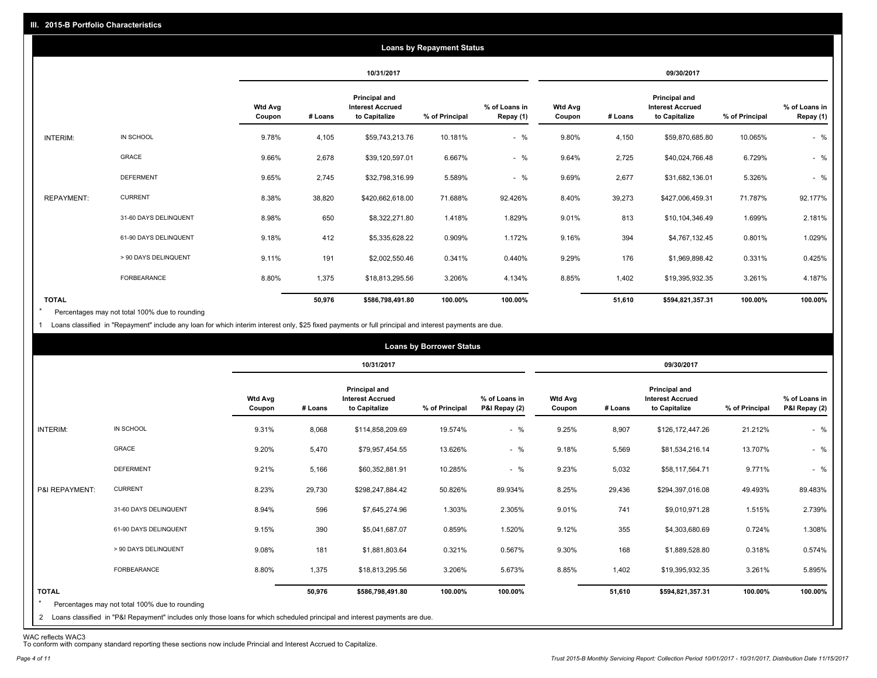|                   |                       |                          |         |                                                           | <b>Loans by Repayment Status</b> |                            |                          |         |                                                                  |                |                            |
|-------------------|-----------------------|--------------------------|---------|-----------------------------------------------------------|----------------------------------|----------------------------|--------------------------|---------|------------------------------------------------------------------|----------------|----------------------------|
|                   |                       |                          |         | 10/31/2017                                                |                                  |                            |                          |         | 09/30/2017                                                       |                |                            |
|                   |                       | <b>Wtd Avg</b><br>Coupon | # Loans | Principal and<br><b>Interest Accrued</b><br>to Capitalize | % of Principal                   | % of Loans in<br>Repay (1) | <b>Wtd Avg</b><br>Coupon | # Loans | <b>Principal and</b><br><b>Interest Accrued</b><br>to Capitalize | % of Principal | % of Loans in<br>Repay (1) |
| INTERIM:          | IN SCHOOL             | 9.78%                    | 4,105   | \$59,743,213.76                                           | 10.181%                          | $-$ %                      | 9.80%                    | 4,150   | \$59,870,685.80                                                  | 10.065%        | $-$ %                      |
|                   | <b>GRACE</b>          | 9.66%                    | 2,678   | \$39,120,597.01                                           | 6.667%                           | $-$ %                      | 9.64%                    | 2,725   | \$40,024,766.48                                                  | 6.729%         | $-$ %                      |
|                   | <b>DEFERMENT</b>      | 9.65%                    | 2,745   | \$32,798,316.99                                           | 5.589%                           | $-$ %                      | 9.69%                    | 2,677   | \$31,682,136.01                                                  | 5.326%         | $-$ %                      |
| <b>REPAYMENT:</b> | <b>CURRENT</b>        | 8.38%                    | 38,820  | \$420,662,618.00                                          | 71.688%                          | 92.426%                    | 8.40%                    | 39,273  | \$427,006,459.31                                                 | 71.787%        | 92.177%                    |
|                   | 31-60 DAYS DELINQUENT | 8.98%                    | 650     | \$8,322,271.80                                            | 1.418%                           | 1.829%                     | 9.01%                    | 813     | \$10,104,346.49                                                  | 1.699%         | 2.181%                     |
|                   | 61-90 DAYS DELINQUENT | 9.18%                    | 412     | \$5,335,628.22                                            | 0.909%                           | 1.172%                     | 9.16%                    | 394     | \$4,767,132.45                                                   | 0.801%         | 1.029%                     |
|                   | > 90 DAYS DELINQUENT  | 9.11%                    | 191     | \$2,002,550.46                                            | 0.341%                           | 0.440%                     | 9.29%                    | 176     | \$1,969,898.42                                                   | 0.331%         | 0.425%                     |
|                   | <b>FORBEARANCE</b>    | 8.80%                    | 1,375   | \$18,813,295.56                                           | 3.206%                           | 4.134%                     | 8.85%                    | 1,402   | \$19,395,932.35                                                  | 3.261%         | 4.187%                     |
| <b>TOTAL</b>      |                       |                          | 50,976  | \$586,798,491.80                                          | 100.00%                          | 100.00%                    |                          | 51,610  | \$594,821,357.31                                                 | 100.00%        | 100.00%                    |

Percentages may not total 100% due to rounding \*

1 Loans classified in "Repayment" include any loan for which interim interest only, \$25 fixed payments or full principal and interest payments are due.

|                         |                                                                                                                              |                          |         |                                                           | <b>Loans by Borrower Status</b> |                                |                          |         |                                                           |                |                                |
|-------------------------|------------------------------------------------------------------------------------------------------------------------------|--------------------------|---------|-----------------------------------------------------------|---------------------------------|--------------------------------|--------------------------|---------|-----------------------------------------------------------|----------------|--------------------------------|
|                         |                                                                                                                              |                          |         | 10/31/2017                                                |                                 |                                |                          |         | 09/30/2017                                                |                |                                |
|                         |                                                                                                                              | <b>Wtd Avg</b><br>Coupon | # Loans | Principal and<br><b>Interest Accrued</b><br>to Capitalize | % of Principal                  | % of Loans in<br>P&I Repay (2) | <b>Wtd Avg</b><br>Coupon | # Loans | Principal and<br><b>Interest Accrued</b><br>to Capitalize | % of Principal | % of Loans in<br>P&I Repay (2) |
| INTERIM:                | IN SCHOOL                                                                                                                    | 9.31%                    | 8,068   | \$114,858,209.69                                          | 19.574%                         | $-$ %                          | 9.25%                    | 8,907   | \$126,172,447.26                                          | 21.212%        | $-$ %                          |
|                         | <b>GRACE</b>                                                                                                                 | 9.20%                    | 5,470   | \$79,957,454.55                                           | 13.626%                         | $-$ %                          | 9.18%                    | 5,569   | \$81,534,216.14                                           | 13.707%        | $-$ %                          |
|                         | <b>DEFERMENT</b>                                                                                                             | 9.21%                    | 5,166   | \$60,352,881.91                                           | 10.285%                         | $-$ %                          | 9.23%                    | 5,032   | \$58,117,564.71                                           | 9.771%         | $-$ %                          |
| P&I REPAYMENT:          | <b>CURRENT</b>                                                                                                               | 8.23%                    | 29,730  | \$298,247,884.42                                          | 50.826%                         | 89.934%                        | 8.25%                    | 29,436  | \$294,397,016.08                                          | 49.493%        | 89.483%                        |
|                         | 31-60 DAYS DELINQUENT                                                                                                        | 8.94%                    | 596     | \$7,645,274.96                                            | 1.303%                          | 2.305%                         | 9.01%                    | 741     | \$9,010,971.28                                            | 1.515%         | 2.739%                         |
|                         | 61-90 DAYS DELINQUENT                                                                                                        | 9.15%                    | 390     | \$5,041,687.07                                            | 0.859%                          | 1.520%                         | 9.12%                    | 355     | \$4,303,680.69                                            | 0.724%         | 1.308%                         |
|                         | > 90 DAYS DELINQUENT                                                                                                         | 9.08%                    | 181     | \$1,881,803.64                                            | 0.321%                          | 0.567%                         | 9.30%                    | 168     | \$1,889,528.80                                            | 0.318%         | 0.574%                         |
|                         | <b>FORBEARANCE</b>                                                                                                           | 8.80%                    | 1,375   | \$18,813,295.56                                           | 3.206%                          | 5.673%                         | 8.85%                    | 1,402   | \$19,395,932.35                                           | 3.261%         | 5.895%                         |
| <b>TOTAL</b><br>$\star$ | Percentages may not total 100% due to rounding                                                                               |                          | 50,976  | \$586,798,491.80                                          | 100.00%                         | 100.00%                        |                          | 51,610  | \$594,821,357.31                                          | 100.00%        | 100.00%                        |
|                         | 2 Loans classified in "P&I Repayment" includes only those loans for which scheduled principal and interest payments are due. |                          |         |                                                           |                                 |                                |                          |         |                                                           |                |                                |

WAC reflects WAC3 To conform with company standard reporting these sections now include Princial and Interest Accrued to Capitalize.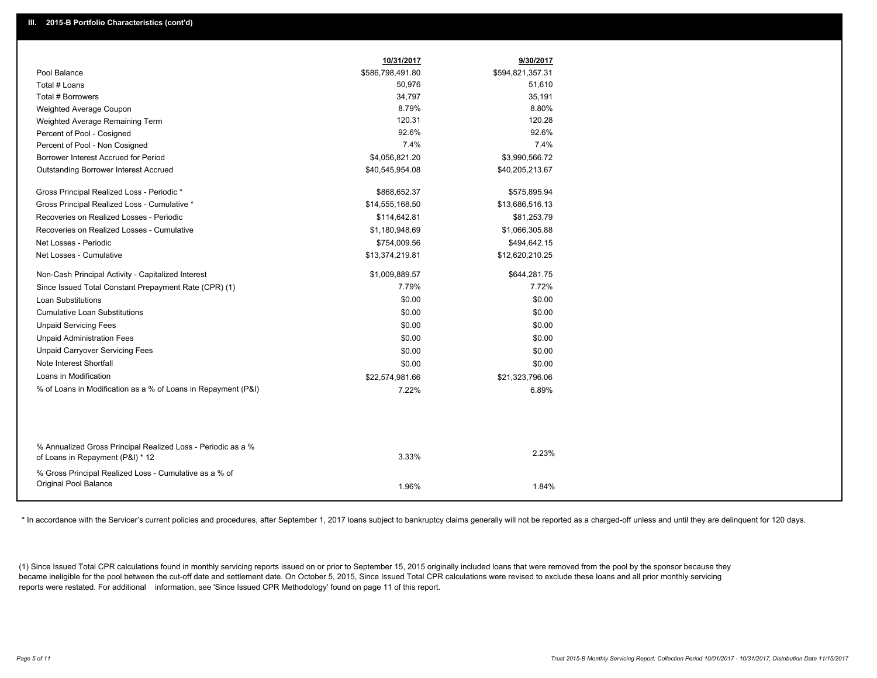|                                                               | 10/31/2017       | 9/30/2017        |
|---------------------------------------------------------------|------------------|------------------|
| Pool Balance                                                  | \$586,798,491.80 | \$594,821,357.31 |
| Total # Loans                                                 | 50,976           | 51,610           |
| <b>Total # Borrowers</b>                                      | 34,797           | 35,191           |
| Weighted Average Coupon                                       | 8.79%            | 8.80%            |
| Weighted Average Remaining Term                               | 120.31           | 120.28           |
| Percent of Pool - Cosigned                                    | 92.6%            | 92.6%            |
| Percent of Pool - Non Cosigned                                | 7.4%             | 7.4%             |
| Borrower Interest Accrued for Period                          | \$4,056,821.20   | \$3,990,566.72   |
| <b>Outstanding Borrower Interest Accrued</b>                  | \$40,545,954.08  | \$40,205,213.67  |
| Gross Principal Realized Loss - Periodic *                    | \$868,652.37     | \$575,895.94     |
| Gross Principal Realized Loss - Cumulative *                  | \$14,555,168.50  | \$13,686,516.13  |
| Recoveries on Realized Losses - Periodic                      | \$114,642.81     | \$81,253.79      |
| Recoveries on Realized Losses - Cumulative                    | \$1,180,948.69   | \$1,066,305.88   |
| Net Losses - Periodic                                         | \$754,009.56     | \$494,642.15     |
| Net Losses - Cumulative                                       | \$13,374,219.81  | \$12,620,210.25  |
| Non-Cash Principal Activity - Capitalized Interest            | \$1,009,889.57   | \$644,281.75     |
| Since Issued Total Constant Prepayment Rate (CPR) (1)         | 7.79%            | 7.72%            |
| <b>Loan Substitutions</b>                                     | \$0.00           | \$0.00           |
| <b>Cumulative Loan Substitutions</b>                          | \$0.00           | \$0.00           |
| <b>Unpaid Servicing Fees</b>                                  | \$0.00           | \$0.00           |
| <b>Unpaid Administration Fees</b>                             | \$0.00           | \$0.00           |
| <b>Unpaid Carryover Servicing Fees</b>                        | \$0.00           | \$0.00           |
| Note Interest Shortfall                                       | \$0.00           | \$0.00           |
| Loans in Modification                                         | \$22,574,981.66  | \$21,323,796.06  |
| % of Loans in Modification as a % of Loans in Repayment (P&I) | 7.22%            | 6.89%            |
|                                                               |                  |                  |
| % Annualized Gross Principal Realized Loss - Periodic as a %  |                  |                  |
| of Loans in Repayment (P&I) * 12                              | 3.33%            | 2.23%            |
| % Gross Principal Realized Loss - Cumulative as a % of        |                  |                  |
| Original Pool Balance                                         | 1.96%            | 1.84%            |

\* In accordance with the Servicer's current policies and procedures, after September 1, 2017 Ioans subject to bankruptcy claims generally will not be reported as a charged-off unless and until they are delinquent for 120 d

(1) Since Issued Total CPR calculations found in monthly servicing reports issued on or prior to September 15, 2015 originally included loans that were removed from the pool by the sponsor because they became ineligible for the pool between the cut-off date and settlement date. On October 5, 2015, Since Issued Total CPR calculations were revised to exclude these loans and all prior monthly servicing reports were restated. For additional information, see 'Since Issued CPR Methodology' found on page 11 of this report.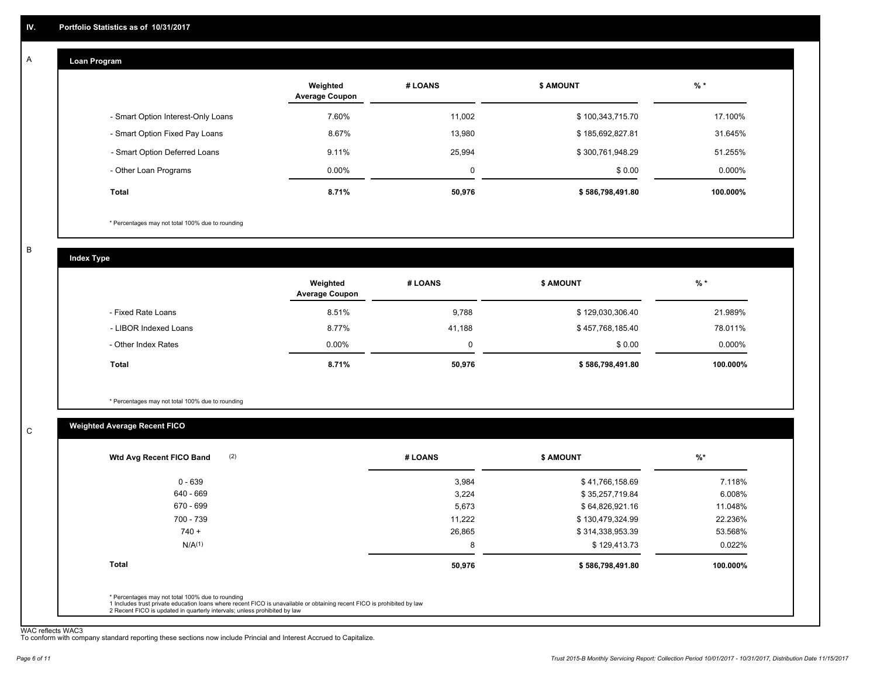#### **Loan Program**  A

|                                    | Weighted<br><b>Average Coupon</b> | # LOANS | <b>\$ AMOUNT</b> | $%$ *     |
|------------------------------------|-----------------------------------|---------|------------------|-----------|
| - Smart Option Interest-Only Loans | 7.60%                             | 11.002  | \$100,343,715.70 | 17.100%   |
| - Smart Option Fixed Pay Loans     | 8.67%                             | 13,980  | \$185,692,827.81 | 31.645%   |
| - Smart Option Deferred Loans      | 9.11%                             | 25.994  | \$300,761,948.29 | 51.255%   |
| - Other Loan Programs              | $0.00\%$                          | 0       | \$0.00           | $0.000\%$ |
| <b>Total</b>                       | 8.71%                             | 50,976  | \$586,798,491.80 | 100.000%  |

\* Percentages may not total 100% due to rounding

B

C

**Index Type**

|                       | Weighted<br><b>Average Coupon</b> | # LOANS | <b>S AMOUNT</b>  | $%$ *     |
|-----------------------|-----------------------------------|---------|------------------|-----------|
| - Fixed Rate Loans    | 8.51%                             | 9,788   | \$129,030,306.40 | 21.989%   |
| - LIBOR Indexed Loans | 8.77%                             | 41.188  | \$457,768,185.40 | 78.011%   |
| - Other Index Rates   | $0.00\%$                          |         | \$0.00           | $0.000\%$ |
| <b>Total</b>          | 8.71%                             | 50,976  | \$586,798,491.80 | 100.000%  |

\* Percentages may not total 100% due to rounding

# **Weighted Average Recent FICO**

| (2)<br>Wtd Avg Recent FICO Band | # LOANS | <b>\$ AMOUNT</b> | $%$ *     |
|---------------------------------|---------|------------------|-----------|
| $0 - 639$                       | 3,984   | \$41,766,158.69  | 7.118%    |
| 640 - 669                       | 3,224   | \$35,257,719.84  | 6.008%    |
| 670 - 699                       | 5,673   | \$64,826,921.16  | 11.048%   |
| 700 - 739                       | 11.222  | \$130,479,324.99 | 22.236%   |
| $740 +$                         | 26,865  | \$314,338,953.39 | 53.568%   |
| N/A <sup>(1)</sup>              | 8       | \$129,413.73     | $0.022\%$ |
| <b>Total</b>                    | 50,976  | \$586,798,491.80 | 100.000%  |
|                                 |         |                  |           |

WAC reflects WAC3 To conform with company standard reporting these sections now include Princial and Interest Accrued to Capitalize.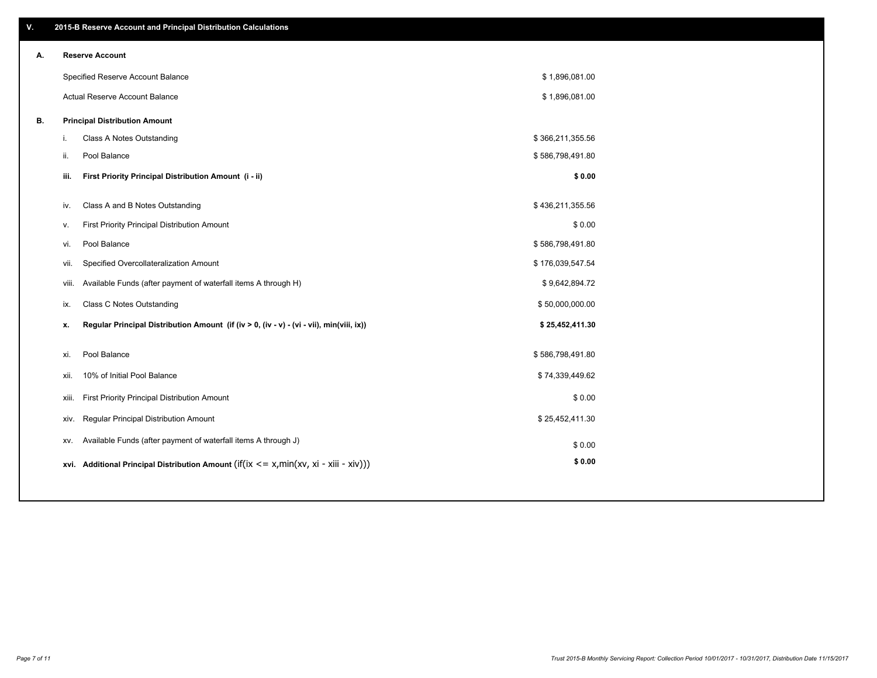| ۷. |     | 2015-B Reserve Account and Principal Distribution Calculations                                      |                  |  |
|----|-----|-----------------------------------------------------------------------------------------------------|------------------|--|
| А. |     | <b>Reserve Account</b>                                                                              |                  |  |
|    |     | Specified Reserve Account Balance                                                                   | \$1,896,081.00   |  |
|    |     | Actual Reserve Account Balance                                                                      | \$1,896,081.00   |  |
| В. |     | <b>Principal Distribution Amount</b>                                                                |                  |  |
|    | i.  | Class A Notes Outstanding                                                                           | \$366,211,355.56 |  |
|    | ii. | Pool Balance                                                                                        | \$586,798,491.80 |  |
|    |     | First Priority Principal Distribution Amount (i - ii)<br>iii.                                       | \$0.00           |  |
|    |     |                                                                                                     |                  |  |
|    |     | Class A and B Notes Outstanding<br>iv.                                                              | \$436,211,355.56 |  |
|    |     | First Priority Principal Distribution Amount<br>v.                                                  | \$0.00           |  |
|    |     | Pool Balance<br>vi.                                                                                 | \$586,798,491.80 |  |
|    |     | Specified Overcollateralization Amount<br>vii.                                                      | \$176,039,547.54 |  |
|    |     | Available Funds (after payment of waterfall items A through H)<br>viii.                             | \$9,642,894.72   |  |
|    |     | Class C Notes Outstanding<br>ix.                                                                    | \$50,000,000.00  |  |
|    |     | Regular Principal Distribution Amount (if (iv > 0, (iv - v) - (vi - vii), min(viii, ix))<br>x.      | \$25,452,411.30  |  |
|    |     | Pool Balance<br>xi.                                                                                 | \$586,798,491.80 |  |
|    |     |                                                                                                     |                  |  |
|    |     | 10% of Initial Pool Balance<br>xii.                                                                 | \$74,339,449.62  |  |
|    |     | First Priority Principal Distribution Amount<br>xiii.                                               | \$0.00           |  |
|    |     | Regular Principal Distribution Amount<br>xiv.                                                       | \$25,452,411.30  |  |
|    |     | Available Funds (after payment of waterfall items A through J)<br>XV.                               | \$0.00           |  |
|    |     | xvi. Additional Principal Distribution Amount (if( $ix \le x$ , min( $xv$ , $xi$ - $xiii - xiv$ ))) | \$0.00           |  |
|    |     |                                                                                                     |                  |  |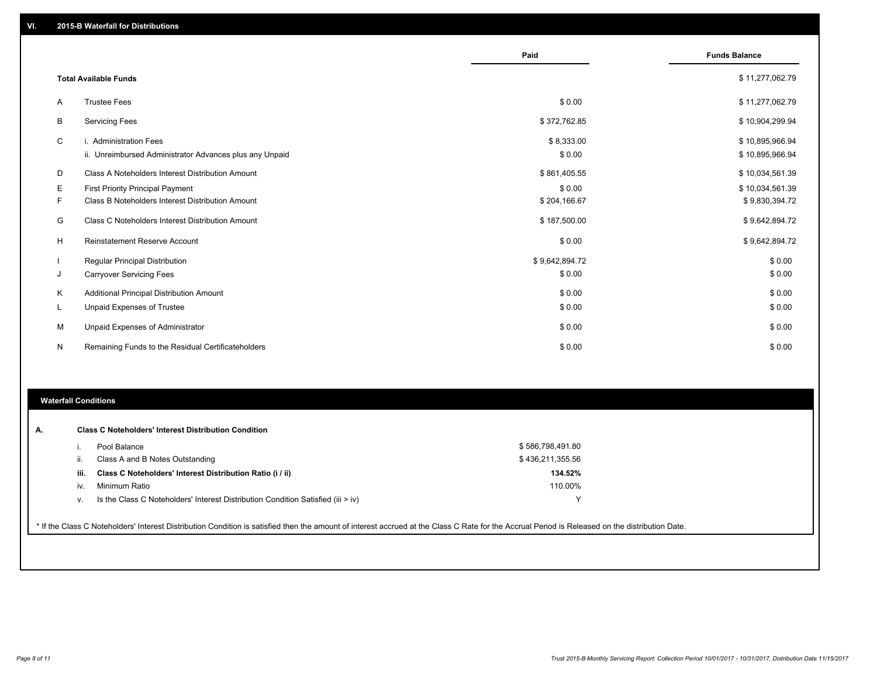|    |                                                                                   | Paid                 | <b>Funds Balance</b>               |
|----|-----------------------------------------------------------------------------------|----------------------|------------------------------------|
|    | <b>Total Available Funds</b>                                                      |                      | \$11,277,062.79                    |
| A  | <b>Trustee Fees</b>                                                               | \$0.00               | \$11,277,062.79                    |
| B  | <b>Servicing Fees</b>                                                             | \$372,762.85         | \$10,904,299.94                    |
| C  | i. Administration Fees<br>ii. Unreimbursed Administrator Advances plus any Unpaid | \$8,333.00<br>\$0.00 | \$10,895,966.94<br>\$10,895,966.94 |
| D  | Class A Noteholders Interest Distribution Amount                                  | \$861,405.55         | \$10,034,561.39                    |
| Е  | First Priority Principal Payment                                                  | \$0.00               | \$10,034,561.39                    |
| F  | Class B Noteholders Interest Distribution Amount                                  | \$204,166.67         | \$9,830,394.72                     |
| G  | Class C Noteholders Interest Distribution Amount                                  | \$187,500.00         | \$9,642,894.72                     |
| H  | Reinstatement Reserve Account                                                     | \$0.00               | \$9,642,894.72                     |
|    | <b>Regular Principal Distribution</b>                                             | \$9,642,894.72       | \$0.00                             |
| J  | <b>Carryover Servicing Fees</b>                                                   | \$0.00               | \$0.00                             |
| Κ  | Additional Principal Distribution Amount                                          | \$0.00               | \$0.00                             |
| L. | Unpaid Expenses of Trustee                                                        | \$0.00               | \$0.00                             |
| M  | Unpaid Expenses of Administrator                                                  | \$0.00               | \$0.00                             |
| N  | Remaining Funds to the Residual Certificateholders                                | \$0.00               | \$0.00                             |

### **Waterfall Conditions**

|      | Pool Balance                                                                     | \$586,798,491.80 |  |
|------|----------------------------------------------------------------------------------|------------------|--|
| Ш.   | Class A and B Notes Outstanding                                                  | \$436,211,355.56 |  |
| iii. | Class C Noteholders' Interest Distribution Ratio (i / ii)                        | 134.52%          |  |
| iv.  | Minimum Ratio                                                                    | 110.00%          |  |
| V.   | Is the Class C Noteholders' Interest Distribution Condition Satisfied (iii > iv) |                  |  |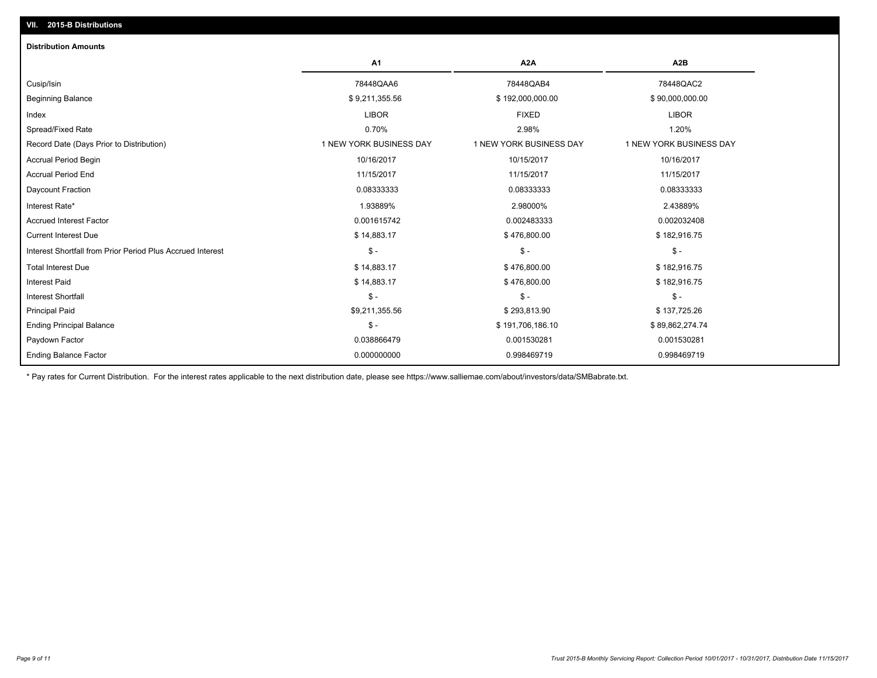| <b>Distribution Amounts</b>                                                 |                         |                         |
|-----------------------------------------------------------------------------|-------------------------|-------------------------|
| A <sub>1</sub>                                                              | A <sub>2</sub> A        | A <sub>2</sub> B        |
| 78448QAA6<br>Cusip/Isin                                                     | 78448QAB4               | 78448QAC2               |
| \$9,211,355.56<br><b>Beginning Balance</b>                                  | \$192,000,000.00        | \$90,000,000.00         |
| <b>LIBOR</b><br>Index                                                       | <b>FIXED</b>            | <b>LIBOR</b>            |
| Spread/Fixed Rate<br>0.70%                                                  | 2.98%                   | 1.20%                   |
| Record Date (Days Prior to Distribution)<br>1 NEW YORK BUSINESS DAY         | 1 NEW YORK BUSINESS DAY | 1 NEW YORK BUSINESS DAY |
| 10/16/2017<br><b>Accrual Period Begin</b>                                   | 10/15/2017              | 10/16/2017              |
| <b>Accrual Period End</b><br>11/15/2017                                     | 11/15/2017              | 11/15/2017              |
| Daycount Fraction<br>0.08333333                                             | 0.08333333              | 0.08333333              |
| Interest Rate*<br>1.93889%                                                  | 2.98000%                | 2.43889%                |
| 0.001615742<br><b>Accrued Interest Factor</b>                               | 0.002483333             | 0.002032408             |
| \$14,883.17<br><b>Current Interest Due</b>                                  | \$476,800.00            | \$182,916.75            |
| $\frac{1}{2}$<br>Interest Shortfall from Prior Period Plus Accrued Interest | $\mathsf{\$}$ -         | $\mathsf{\$}$ -         |
| \$14,883.17<br><b>Total Interest Due</b>                                    | \$476,800.00            | \$182,916.75            |
| \$14,883.17<br><b>Interest Paid</b>                                         | \$476,800.00            | \$182,916.75            |
| $S -$<br><b>Interest Shortfall</b>                                          | $\mathsf{\$}$ -         | $\mathsf{\$}$ -         |
| \$9,211,355.56<br><b>Principal Paid</b>                                     | \$293,813.90            | \$137,725.26            |
| $\frac{2}{3}$ -<br><b>Ending Principal Balance</b>                          | \$191,706,186.10        | \$89,862,274.74         |
| 0.038866479<br>Paydown Factor                                               | 0.001530281             | 0.001530281             |
| <b>Ending Balance Factor</b><br>0.000000000                                 | 0.998469719             | 0.998469719             |

\* Pay rates for Current Distribution. For the interest rates applicable to the next distribution date, please see https://www.salliemae.com/about/investors/data/SMBabrate.txt.

**VII. 2015-B Distributions**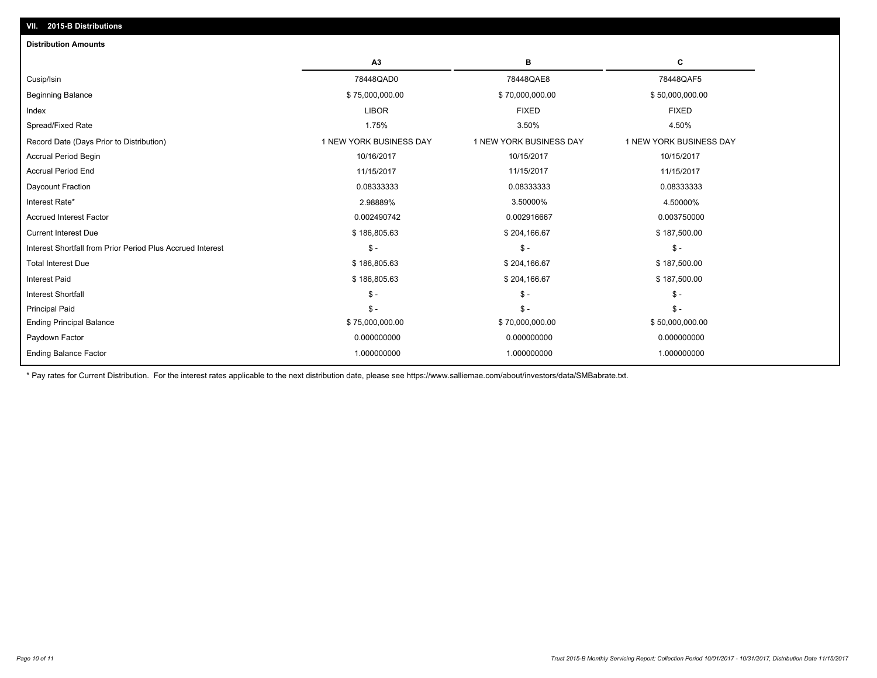| <b>Distribution Amounts</b>                                |                         |                         |                         |
|------------------------------------------------------------|-------------------------|-------------------------|-------------------------|
|                                                            | A <sub>3</sub>          | в                       | c                       |
| Cusip/Isin                                                 | 78448QAD0               | 78448QAE8               | 78448QAF5               |
| <b>Beginning Balance</b>                                   | \$75,000,000.00         | \$70,000,000.00         | \$50,000,000.00         |
| Index                                                      | <b>LIBOR</b>            | <b>FIXED</b>            | <b>FIXED</b>            |
| Spread/Fixed Rate                                          | 1.75%                   | 3.50%                   | 4.50%                   |
| Record Date (Days Prior to Distribution)                   | 1 NEW YORK BUSINESS DAY | 1 NEW YORK BUSINESS DAY | 1 NEW YORK BUSINESS DAY |
| <b>Accrual Period Begin</b>                                | 10/16/2017              | 10/15/2017              | 10/15/2017              |
| <b>Accrual Period End</b>                                  | 11/15/2017              | 11/15/2017              | 11/15/2017              |
| Daycount Fraction                                          | 0.08333333              | 0.08333333              | 0.08333333              |
| Interest Rate*                                             | 2.98889%                | 3.50000%                | 4.50000%                |
| <b>Accrued Interest Factor</b>                             | 0.002490742             | 0.002916667             | 0.003750000             |
| <b>Current Interest Due</b>                                | \$186,805.63            | \$204,166.67            | \$187,500.00            |
| Interest Shortfall from Prior Period Plus Accrued Interest | $\mathbb{S}$ -          | $\mathsf{\$}$ -         | $\mathsf{\$}$ -         |
| <b>Total Interest Due</b>                                  | \$186,805.63            | \$204,166.67            | \$187,500.00            |
| <b>Interest Paid</b>                                       | \$186,805.63            | \$204,166.67            | \$187,500.00            |
| <b>Interest Shortfall</b>                                  | $\mathbb{S}$ -          | $\mathsf{\$}$ -         | $\mathsf{\$}$ -         |
| <b>Principal Paid</b>                                      | $S -$                   | $\mathsf{\$}$ -         | $\mathsf{\$}$ -         |
| <b>Ending Principal Balance</b>                            | \$75,000,000.00         | \$70,000,000.00         | \$50,000,000.00         |
| Paydown Factor                                             | 0.000000000             | 0.000000000             | 0.000000000             |
| <b>Ending Balance Factor</b>                               | 1.000000000             | 1.000000000             | 1.000000000             |

\* Pay rates for Current Distribution. For the interest rates applicable to the next distribution date, please see https://www.salliemae.com/about/investors/data/SMBabrate.txt.

**VII. 2015-B Distributions**